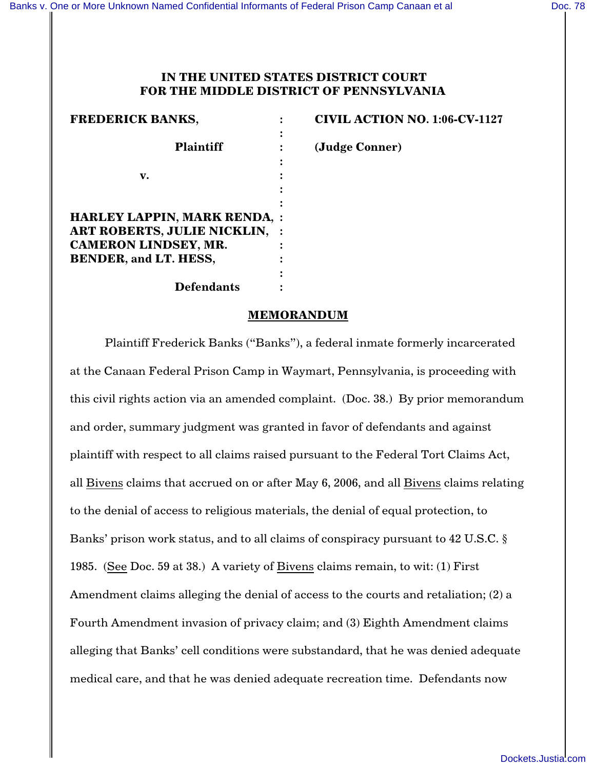# **IN THE UNITED STATES DISTRICT COURT FOR THE MIDDLE DISTRICT OF PENNSYLVANIA**

| <b>FREDERICK BANKS,</b>              | <b>CIVIL ACTION NO. 1:06-CV-1127</b> |
|--------------------------------------|--------------------------------------|
|                                      |                                      |
| <b>Plaintiff</b>                     | (Judge Conner)                       |
|                                      |                                      |
| v.                                   |                                      |
|                                      |                                      |
|                                      |                                      |
| <b>HARLEY LAPPIN, MARK RENDA, :</b>  |                                      |
| <b>ART ROBERTS, JULIE NICKLIN, :</b> |                                      |
| <b>CAMERON LINDSEY, MR.</b>          |                                      |
| <b>BENDER, and LT. HESS,</b>         |                                      |
|                                      |                                      |
| <b>Defendants</b>                    |                                      |
|                                      |                                      |

#### **MEMORANDUM**

Plaintiff Frederick Banks ("Banks"), a federal inmate formerly incarcerated at the Canaan Federal Prison Camp in Waymart, Pennsylvania, is proceeding with this civil rights action via an amended complaint. (Doc. 38.) By prior memorandum and order, summary judgment was granted in favor of defendants and against plaintiff with respect to all claims raised pursuant to the Federal Tort Claims Act, all Bivens claims that accrued on or after May 6, 2006, and all Bivens claims relating to the denial of access to religious materials, the denial of equal protection, to Banks' prison work status, and to all claims of conspiracy pursuant to [42 U.S.C. §](http://www.westlaw.com/find/default.wl?rs=CLWP3.0&vr=2.0&cite=42+USCA+s+1985) [1985](http://www.westlaw.com/find/default.wl?rs=CLWP3.0&vr=2.0&cite=42+USCA+s+1985). (See Doc. 59 at 38.) A variety of Bivens claims remain, to wit: (1) First Amendment claims alleging the denial of access to the courts and retaliation; (2) a Fourth Amendment invasion of privacy claim; and (3) Eighth Amendment claims alleging that Banks' cell conditions were substandard, that he was denied adequate medical care, and that he was denied adequate recreation time. Defendants now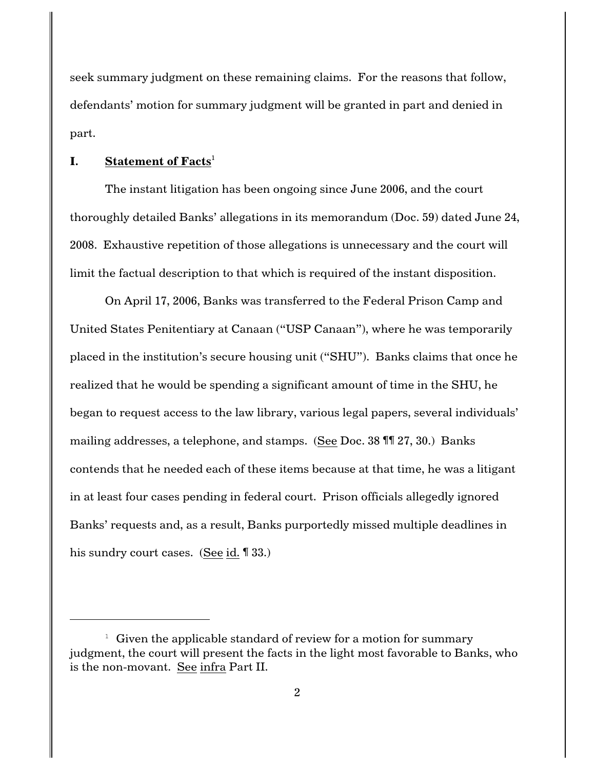seek summary judgment on these remaining claims. For the reasons that follow, defendants' motion for summary judgment will be granted in part and denied in part.

# **I. Statement of Facts**<sup>1</sup>

The instant litigation has been ongoing since June 2006, and the court thoroughly detailed Banks' allegations in its memorandum (Doc. 59) dated June 24, 2008. Exhaustive repetition of those allegations is unnecessary and the court will limit the factual description to that which is required of the instant disposition.

On April 17, 2006, Banks was transferred to the Federal Prison Camp and United States Penitentiary at Canaan ("USP Canaan"), where he was temporarily placed in the institution's secure housing unit ("SHU"). Banks claims that once he realized that he would be spending a significant amount of time in the SHU, he began to request access to the law library, various legal papers, several individuals' mailing addresses, a telephone, and stamps. (See Doc. 38 ¶¶ 27, 30.) Banks contends that he needed each of these items because at that time, he was a litigant in at least four cases pending in federal court. Prison officials allegedly ignored Banks' requests and, as a result, Banks purportedly missed multiple deadlines in his sundry court cases. (See [id.](http://www.westlaw.com/find/default.wl?rs=CLWP3.0&vr=2.0&cite=42+USCA+s+1985) ¶ 33.)

 $\frac{1}{1}$  Given the applicable standard of review for a motion for summary judgment, the court will present the facts in the light most favorable to Banks, who is the non-movant. See infra Part II.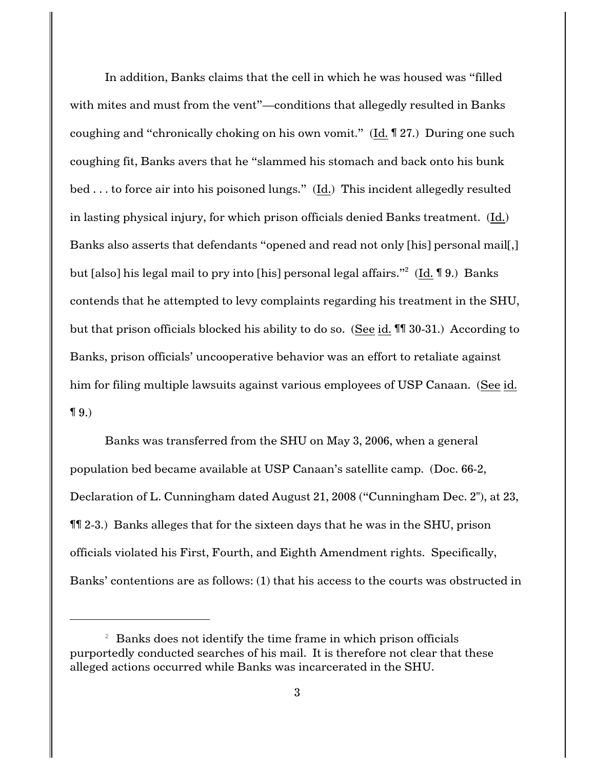In addition, Banks claims that the cell in which he was housed was "filled with mites and must from the vent"—conditions that allegedly resulted in Banks coughing and "chronically choking on his own vomit." [\(Id.](http://www.westlaw.com/find/default.wl?rs=CLWP3.0&vr=2.0&cite=42+USCA+s+1985) ¶ 27.) During one such coughing fit, Banks avers that he "slammed his stomach and back onto his bunk bed . . . to force air into his poisoned lungs." [\(Id.](http://www.westlaw.com/find/default.wl?rs=CLWP3.0&vr=2.0&cite=42+USCA+s+1985)) This incident allegedly resulted in lasting physical injury, for which prison officials denied Banks treatment. [\(Id.](http://www.westlaw.com/find/default.wl?rs=CLWP3.0&vr=2.0&cite=42+USCA+s+1985)) Banks also asserts that defendants "opened and read not only [his] personal mail[,] but [also] his legal mail to pry into [his] personal legal affairs."<sup>2</sup> (<u>[Id.](http://www.westlaw.com/find/default.wl?rs=CLWP3.0&vr=2.0&cite=42+USCA+s+1985)</u> ¶ 9.) Banks contends that he attempted to levy complaints regarding his treatment in the SHU, but that prison officials blocked his ability to do so. (See [id.](http://www.westlaw.com/find/default.wl?rs=CLWP3.0&vr=2.0&cite=42+USCA+s+1985) ¶¶ 30-31.) According to Banks, prison officials' uncooperative behavior was an effort to retaliate against him for filing multiple lawsuits against various employees of USP Canaan. (See [id.](http://www.westlaw.com/find/default.wl?rs=CLWP3.0&vr=2.0&cite=42+USCA+s+1985)  $\P(9)$ 

Banks was transferred from the SHU on May 3, 2006, when a general population bed became available at USP Canaan's satellite camp. (Doc. 66-2, Declaration of L. Cunningham dated August 21, 2008 ("Cunningham Dec. 2"), at 23, ¶¶ 2-3.) Banks alleges that for the sixteen days that he was in the SHU, prison officials violated his First, Fourth, and Eighth Amendment rights. Specifically, Banks' contentions are as follows: (1) that his access to the courts was obstructed in

 $2$  Banks does not identify the time frame in which prison officials purportedly conducted searches of his mail. It is therefore not clear that these alleged actions occurred while Banks was incarcerated in the SHU.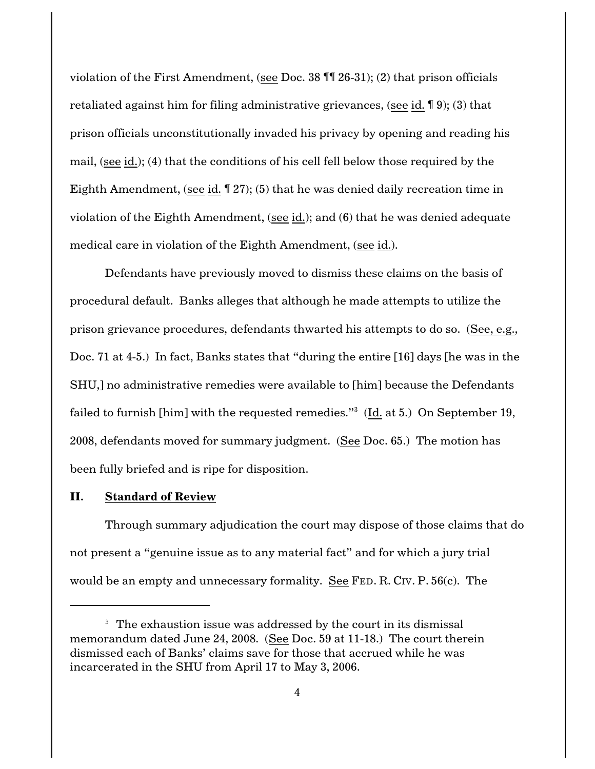violation of the First Amendment, (see Doc. 38 ¶¶ 26-31); (2) that prison officials retaliated against him for filing administrative grievances, (see [id.](http://www.westlaw.com/find/default.wl?rs=CLWP3.0&vr=2.0&cite=42+USCA+s+1985) ¶ 9); (3) that prison officials unconstitutionally invaded his privacy by opening and reading his mail, (see [id.](http://www.westlaw.com/find/default.wl?rs=CLWP3.0&vr=2.0&cite=42+USCA+s+1985)); (4) that the conditions of his cell fell below those required by the Eighth Amendment, (see [id.](http://www.westlaw.com/find/default.wl?rs=CLWP3.0&vr=2.0&cite=42+USCA+s+1985) ¶ 27); (5) that he was denied daily recreation time in violation of the Eighth Amendment, (see [id.](http://www.westlaw.com/find/default.wl?rs=CLWP3.0&vr=2.0&cite=42+USCA+s+1985)); and (6) that he was denied adequate medical care in violation of the Eighth Amendment, (see [id.](http://www.westlaw.com/find/default.wl?rs=CLWP3.0&vr=2.0&cite=42+USCA+s+1985)).

Defendants have previously moved to dismiss these claims on the basis of procedural default. Banks alleges that although he made attempts to utilize the prison grievance procedures, defendants thwarted his attempts to do so. (See, e.g., Doc. 71 at 4-5.) In fact, Banks states that "during the entire [16] days [he was in the SHU,] no administrative remedies were available to [him] because the Defendants failed to furnish [him] with the requested remedies." $^3\,$  (<u>Id.</u> at 5.) On September 19, 2008, defendants moved for summary judgment. (See Doc. 65.) The motion has been fully briefed and is ripe for disposition.

### **II. Standard of Review**

Through summary adjudication the court may dispose of those claims that do not present a "genuine issue as to any material fact" and for which a jury trial would be an empty and unnecessary formality. See FED. R. CIV. P. [56\(c\)](http://www.westlaw.com/find/default.wl?rs=CLWP3.0&vr=2.0&cite=FRCP+P.+56%28c%29). The

 $3$  The exhaustion issue was addressed by the court in its dismissal memorandum dated June 24, 2008. (See Doc. 59 at 11-18.) The court therein dismissed each of Banks' claims save for those that accrued while he was incarcerated in the SHU from April 17 to May 3, 2006.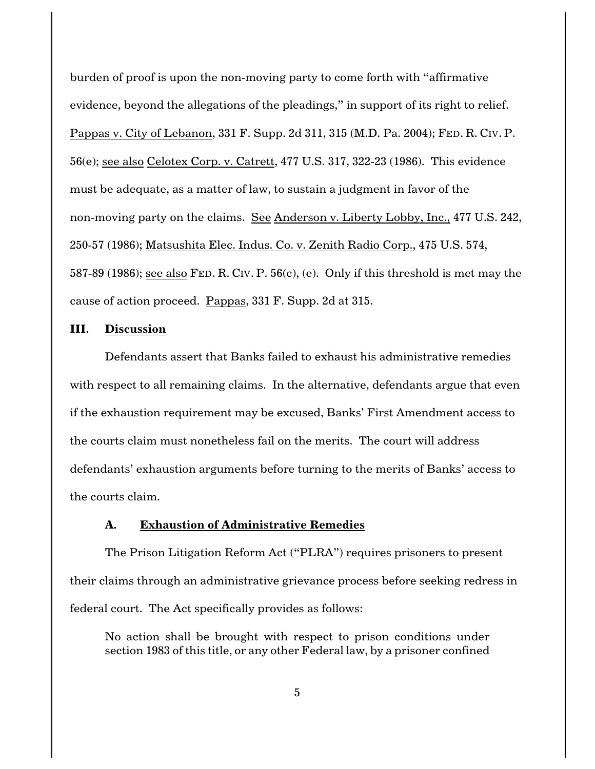burden of proof is upon the non-moving party to come forth with "affirmative evidence, beyond the allegations of the pleadings," in support of its right to relief. [Pappas v. City of Lebanon, 331 F. Supp. 2d 311, 315 \(M.D. Pa. 2004\)](http://www.westlaw.com/find/default.wl?rs=CLWP3.0&vr=2.0&cite=331+F.Supp.2d+311); FED. [R.](http://www.westlaw.com/find/default.wl?rs=CLWP3.0&vr=2.0&cite=FRCP+P.+56%28e%29) CIV. P. [56\(e\)](http://www.westlaw.com/find/default.wl?rs=CLWP3.0&vr=2.0&cite=FRCP+P.+56%28e%29); see also [Celotex Corp. v. Catrett, 477 U.S. 317, 322-23 \(1986\)](http://www.westlaw.com/find/default.wl?rs=CLWP3.0&vr=2.0&cite=477+U.S.+317). This evidence must be adequate, as a matter of law, to sustain a judgment in favor of the non-moving party on the claims. See [Anderson v. Liberty Lobby, Inc., 477 U.S. 242,](http://www.westlaw.com/find/default.wl?rs=CLWP3.0&vr=2.0&cite=477+U.S.+242) [250-57 \(1986\)](http://www.westlaw.com/find/default.wl?rs=CLWP3.0&vr=2.0&cite=477+U.S.+242); [Matsushita Elec. Indus. Co. v. Zenith Radio Corp., 475 U.S. 574,](http://www.westlaw.com/find/default.wl?rs=CLWP3.0&vr=2.0&cite=475+U.S.+574) [587-89 \(1986\)](http://www.westlaw.com/find/default.wl?rs=CLWP3.0&vr=2.0&cite=475+U.S.+574); see also FED. R. CIV. [P. 56\(c\)](http://www.westlaw.com/find/default.wl?rs=CLWP3.0&vr=2.0&cite=FRCP+P.+56%28c%29), (e). Only if this threshold is met may the cause of action proceed. [Pappas, 331 F. Supp. 2d at 315](http://www.westlaw.com/find/default.wl?rs=CLWP3.0&vr=2.0&cite=331+F.Supp.2d+315).

#### **III. Discussion**

Defendants assert that Banks failed to exhaust his administrative remedies with respect to all remaining claims. In the alternative, defendants argue that even if the exhaustion requirement may be excused, Banks' First Amendment access to the courts claim must nonetheless fail on the merits. The court will address defendants' exhaustion arguments before turning to the merits of Banks' access to the courts claim.

### **A. Exhaustion of Administrative Remedies**

The Prison Litigation Reform Act ("PLRA") requires prisoners to present their claims through an administrative grievance process before seeking redress in federal court. The Act specifically provides as follows:

No action shall be brought with respect to prison conditions under section 1983 of this title, or any other Federal law, by a prisoner confined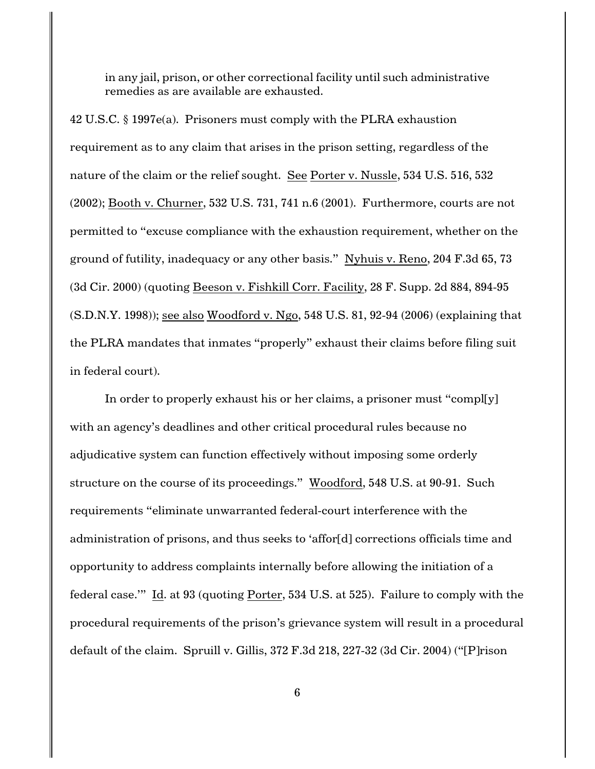in any jail, prison, or other correctional facility until such administrative remedies as are available are exhausted.

[42 U.S.C. § 1997e\(a\)](http://www.westlaw.com/find/default.wl?rs=CLWP3.0&vr=2.0&cite=42+USCA+s+1997e%28a%29). Prisoners must comply with the PLRA exhaustion requirement as to any claim that arises in the prison setting, regardless of the nature of the claim or the relief sought. See [Porter v. Nussle, 534 U.S. 516, 532](http://www.westlaw.com/find/default.wl?rs=CLWP3.0&vr=2.0&cite=534+U.S.+516) [\(2002\)](http://www.westlaw.com/find/default.wl?rs=CLWP3.0&vr=2.0&cite=534+U.S.+516); [Booth v. Churner, 532 U.S. 731, 741 n.6 \(2001\)](http://www.westlaw.com/find/default.wl?rs=CLWP3.0&vr=2.0&cite=532+U.S.+731). Furthermore, courts are not permitted to "excuse compliance with the exhaustion requirement, whether on the ground of futility, inadequacy or any other basis." [Nyhuis v. Reno, 204 F.3d 65, 73](http://www.westlaw.com/find/default.wl?rs=CLWP3.0&vr=2.0&cite=204+F.3d+65) [\(3d Cir. 2000\)](http://www.westlaw.com/find/default.wl?rs=CLWP3.0&vr=2.0&cite=204+F.3d+65) (quoting Beeson v. Fishkill Corr. Facility, 28 F. Supp. 2d 884, 894-95 (S.D.N.Y. 1998)); see also [Woodford v. Ngo, 548 U.S. 81, 92-94 \(2006\)](http://www.westlaw.com/find/default.wl?rs=CLWP3.0&vr=2.0&cite=548+U.S.+81) (explaining that the PLRA mandates that inmates "properly" exhaust their claims before filing suit in federal court).

In order to properly exhaust his or her claims, a prisoner must "compl[y] with an agency's deadlines and other critical procedural rules because no adjudicative system can function effectively without imposing some orderly structure on the course of its proceedings." [Woodford, 548 U.S. at 90-91](http://www.westlaw.com/find/default.wl?rs=CLWP3.0&vr=2.0&cite=548+U.S.+90). Such requirements "eliminate unwarranted federal-court interference with the administration of prisons, and thus seeks to 'affor[d] corrections officials time and opportunity to address complaints internally before allowing the initiation of a federal case.'" [Id. at 93](http://www.westlaw.com/find/default.wl?rs=CLWP3.0&vr=2.0&cite=548+U.S.+93) (quoting [Porter, 534 U.S. at 525](http://www.westlaw.com/find/default.wl?rs=CLWP3.0&vr=2.0&cite=534+U.S.+525)). Failure to comply with the procedural requirements of the prison's grievance system will result in a procedural default of the claim. [Spruill v. Gillis, 372 F.3d 218, 227-32 \(3d Cir. 2004\)](http://www.westlaw.com/find/default.wl?rs=CLWP3.0&vr=2.0&cite=372+F.3d+218) ("[P]rison

6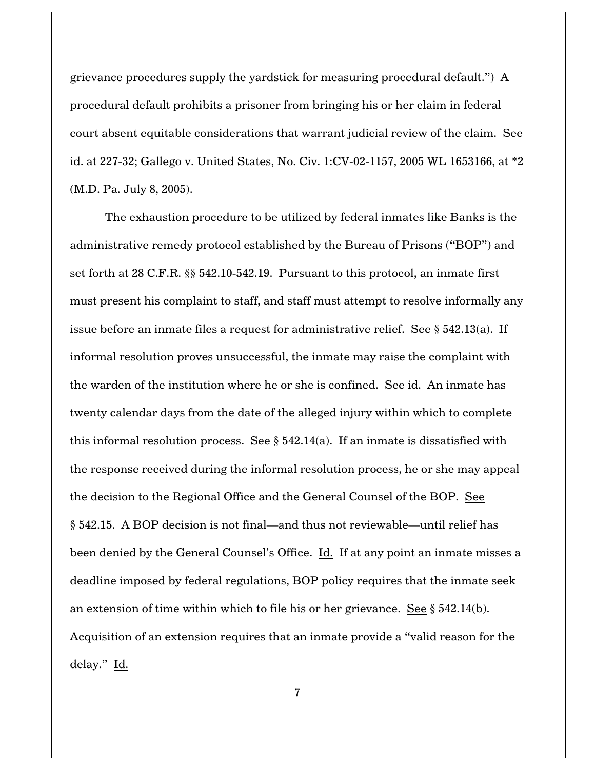grievance procedures supply the yardstick for measuring procedural default.") A procedural default prohibits a prisoner from bringing his or her claim in federal court absent equitable considerations that warrant judicial review of the claim. See [id. at 227-32](http://www.westlaw.com/find/default.wl?rs=CLWP3.0&vr=2.0&cite=372+F.3d+227); [Gallego v. United States, No. Civ. 1:CV-02-1157, 2005 WL 1653166, at \\*2](http://www.westlaw.com/find/default.wl?rs=CLWP3.0&vr=2.0&cite=2005+WL+1653166) [\(M.D. Pa. July 8, 2005\)](http://www.westlaw.com/find/default.wl?rs=CLWP3.0&vr=2.0&cite=2005+WL+1653166).

The exhaustion procedure to be utilized by federal inmates like Banks is the administrative remedy protocol established by the Bureau of Prisons ("BOP") and set forth at [28 C.F.R. §§ 542.10-542.19](http://www.westlaw.com/find/default.wl?rs=CLWP3.0&vr=2.0&cite=28+CFR+ss+542.10-542.19). Pursuant to this protocol, an inmate first must present his complaint to staff, and staff must attempt to resolve informally any issue before an inmate files a request for administrative relief. See § 542.13(a). If informal resolution proves unsuccessful, the inmate may raise the complaint with the warden of the institution where he or she is confined. See [id.](http://www.westlaw.com/find/default.wl?rs=CLWP3.0&vr=2.0&cite=28+CFR+ss+542.10-542.19) An inmate has twenty calendar days from the date of the alleged injury within which to complete this informal resolution process. See  $\S$  542.14(a). If an inmate is dissatisfied with the response received during the informal resolution process, he or she may appeal the decision to the Regional Office and the General Counsel of the BOP. See § 542.15. A BOP decision is not final—and thus not reviewable—until relief has been denied by the General Counsel's Office. [Id.](http://www.westlaw.com/find/default.wl?rs=CLWP3.0&vr=2.0&cite=28+CFR+ss+542.10-542.19) If at any point an inmate misses a deadline imposed by federal regulations, BOP policy requires that the inmate seek an extension of time within which to file his or her grievance. See § 542.14(b). Acquisition of an extension requires that an inmate provide a "valid reason for the delay." [Id.](http://www.westlaw.com/find/default.wl?rs=CLWP3.0&vr=2.0&cite=28+CFR+ss+542.10-542.19)

7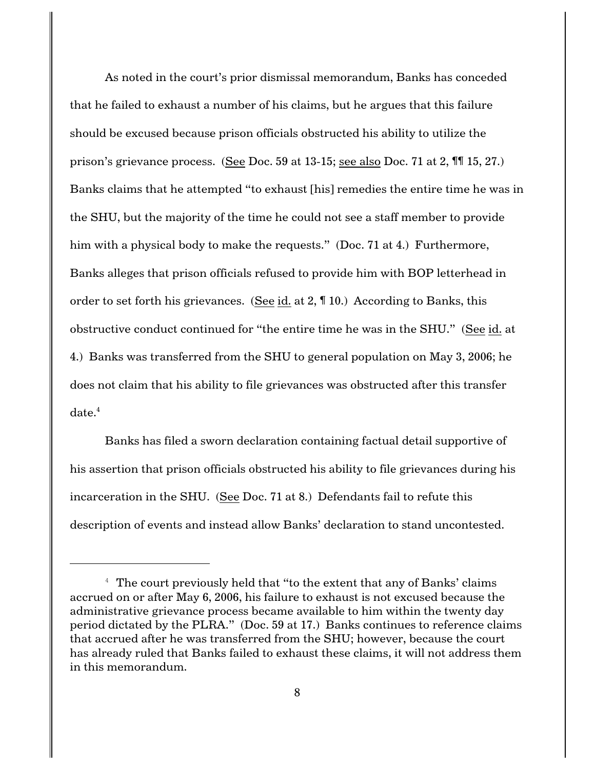As noted in the court's prior dismissal memorandum, Banks has conceded that he failed to exhaust a number of his claims, but he argues that this failure should be excused because prison officials obstructed his ability to utilize the prison's grievance process. (See Doc. 59 at 13-15; see also Doc. 71 at 2, ¶¶ 15, 27.) Banks claims that he attempted "to exhaust [his] remedies the entire time he was in the SHU, but the majority of the time he could not see a staff member to provide him with a physical body to make the requests." (Doc. 71 at 4.) Furthermore, Banks alleges that prison officials refused to provide him with BOP letterhead in order to set forth his grievances. (See [id. at 2](http://www.westlaw.com/find/default.wl?rs=CLWP3.0&vr=2.0&cite=28+CFR+ss+542.10-542.19), ¶ 10.) According to Banks, this obstructive conduct continued for "the entire time he was in the SHU." (See [id. at](http://www.westlaw.com/find/default.wl?rs=CLWP3.0&vr=2.0&cite=28+CFR+ss+542.10-542.19) [4](http://www.westlaw.com/find/default.wl?rs=CLWP3.0&vr=2.0&cite=28+CFR+ss+542.10-542.19).) Banks was transferred from the SHU to general population on May 3, 2006; he does not claim that his ability to file grievances was obstructed after this transfer  $date.<sup>4</sup>$ 

Banks has filed a sworn declaration containing factual detail supportive of his assertion that prison officials obstructed his ability to file grievances during his incarceration in the SHU. (See Doc. 71 at 8.) Defendants fail to refute this description of events and instead allow Banks' declaration to stand uncontested.

<sup>&</sup>lt;sup>4</sup> The court previously held that "to the extent that any of Banks' claims accrued on or after May 6, 2006, his failure to exhaust is not excused because the administrative grievance process became available to him within the twenty day period dictated by the PLRA." (Doc. 59 at 17.) Banks continues to reference claims that accrued after he was transferred from the SHU; however, because the court has already ruled that Banks failed to exhaust these claims, it will not address them in this memorandum.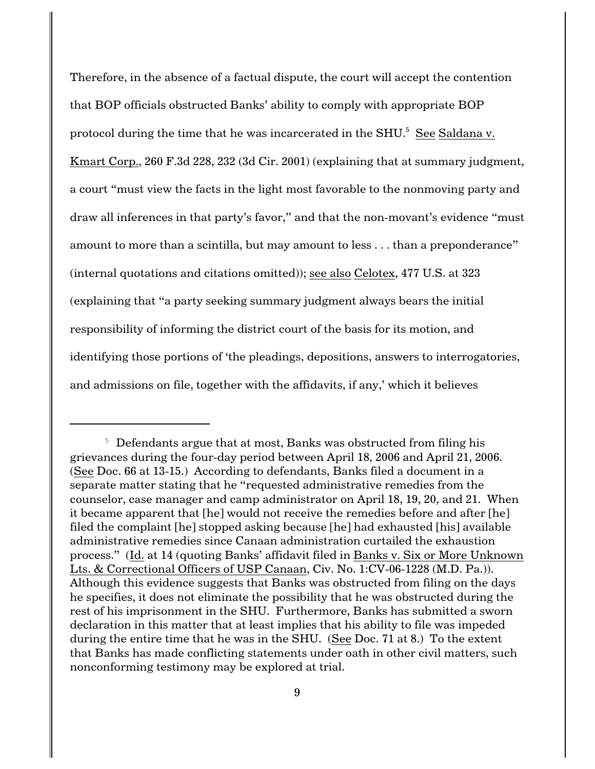Therefore, in the absence of a factual dispute, the court will accept the contention that BOP officials obstructed Banks' ability to comply with appropriate BOP protocol during the time that he was incarcerated in the SHU.<sup>5</sup> See [Saldana v.](http://www.westlaw.com/find/default.wl?rs=CLWP3.0&vr=2.0&cite=260+F.3d+228) [Kmart Corp., 260 F.3d 228, 232 \(3d Cir. 2001\)](http://www.westlaw.com/find/default.wl?rs=CLWP3.0&vr=2.0&cite=260+F.3d+228) (explaining that at summary judgment, a court "must view the facts in the light most favorable to the nonmoving party and draw all inferences in that party's favor," and that the non-movant's evidence "must amount to more than a scintilla, but may amount to less . . . than a preponderance" (internal quotations and citations omitted)); see also [Celotex, 477 U.S. at 323](http://www.westlaw.com/find/default.wl?rs=CLWP3.0&vr=2.0&cite=477+U.S.+323) (explaining that "a party seeking summary judgment always bears the initial responsibility of informing the district court of the basis for its motion, and identifying those portions of 'the pleadings, depositions, answers to interrogatories, and admissions on file, together with the affidavits, if any,' which it believes

 $5$  Defendants argue that at most, Banks was obstructed from filing his grievances during the four-day period between April 18, 2006 and April 21, 2006. (See Doc. 66 at 13-15.) According to defendants, Banks filed a document in a separate matter stating that he "requested administrative remedies from the counselor, case manager and camp administrator on April 18, 19, 20, and 21. When it became apparent that [he] would not receive the remedies before and after [he] filed the complaint [he] stopped asking because [he] had exhausted [his] available administrative remedies since Canaan administration curtailed the exhaustion process." (Id. at 14 (quoting Banks' affidavit filed in Banks v. Six or More Unknown Lts. & Correctional Officers of USP Canaan, Civ. No. 1:CV-06-1228 (M.D. Pa.)). Although this evidence suggests that Banks was obstructed from filing on the days he specifies, it does not eliminate the possibility that he was obstructed during the rest of his imprisonment in the SHU. Furthermore, Banks has submitted a sworn declaration in this matter that at least implies that his ability to file was impeded during the entire time that he was in the SHU. (See Doc. 71 at 8.) To the extent that Banks has made conflicting statements under oath in other civil matters, such nonconforming testimony may be explored at trial.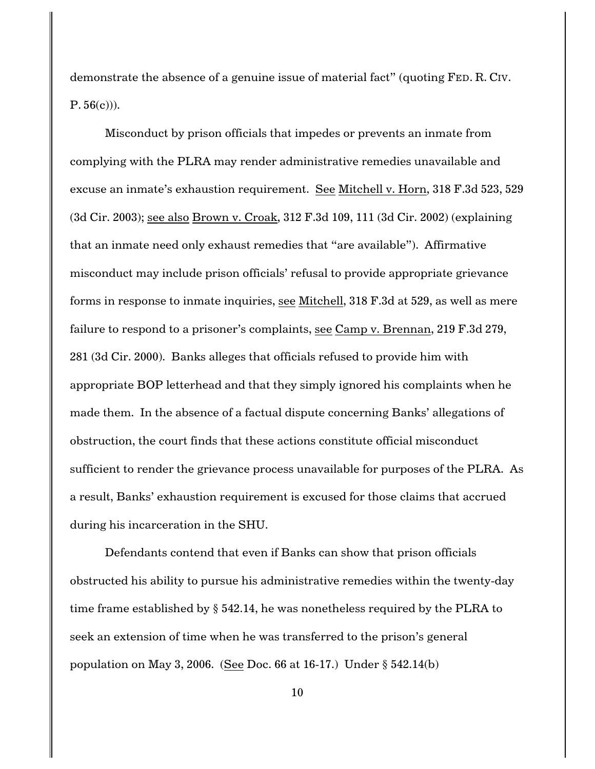demonstrate the absence of a genuine issue of material fact" (quoting FED. [R.](http://www.westlaw.com/find/default.wl?rs=CLWP3.0&vr=2.0&cite=FRCP+P.+56%28c%29) CIV.  $P. 56(c)$  $P. 56(c)$ ).

Misconduct by prison officials that impedes or prevents an inmate from complying with the PLRA may render administrative remedies unavailable and excuse an inmate's exhaustion requirement. See [Mitchell v. Horn, 318 F.3d 523, 529](http://www.westlaw.com/find/default.wl?rs=CLWP3.0&vr=2.0&cite=318+F.3d+523) [\(3d Cir. 2003\)](http://www.westlaw.com/find/default.wl?rs=CLWP3.0&vr=2.0&cite=318+F.3d+523); see also [Brown v. Croak, 312 F.3d 109, 111 \(3d Cir. 2002\)](http://www.westlaw.com/find/default.wl?rs=CLWP3.0&vr=2.0&cite=312+F.3d+109) (explaining that an inmate need only exhaust remedies that "are available"). Affirmative misconduct may include prison officials' refusal to provide appropriate grievance forms in response to inmate inquiries, see [Mitchell, 318 F.3d at 529](http://www.westlaw.com/find/default.wl?rs=CLWP3.0&vr=2.0&cite=318+F.3d+529), as well as mere failure to respond to a prisoner's complaints, see [Camp v. Brennan, 219 F.3d 279,](http://www.westlaw.com/find/default.wl?rs=CLWP3.0&vr=2.0&cite=219+F.3d+279) [281 \(3d Cir. 2000\)](http://www.westlaw.com/find/default.wl?rs=CLWP3.0&vr=2.0&cite=219+F.3d+279). Banks alleges that officials refused to provide him with appropriate BOP letterhead and that they simply ignored his complaints when he made them. In the absence of a factual dispute concerning Banks' allegations of obstruction, the court finds that these actions constitute official misconduct sufficient to render the grievance process unavailable for purposes of the PLRA. As a result, Banks' exhaustion requirement is excused for those claims that accrued during his incarceration in the SHU.

Defendants contend that even if Banks can show that prison officials obstructed his ability to pursue his administrative remedies within the twenty-day time frame established by § 542.14, he was nonetheless required by the PLRA to seek an extension of time when he was transferred to the prison's general population on May 3, 2006. (See Doc. 66 at 16-17.) Under § 542.14(b)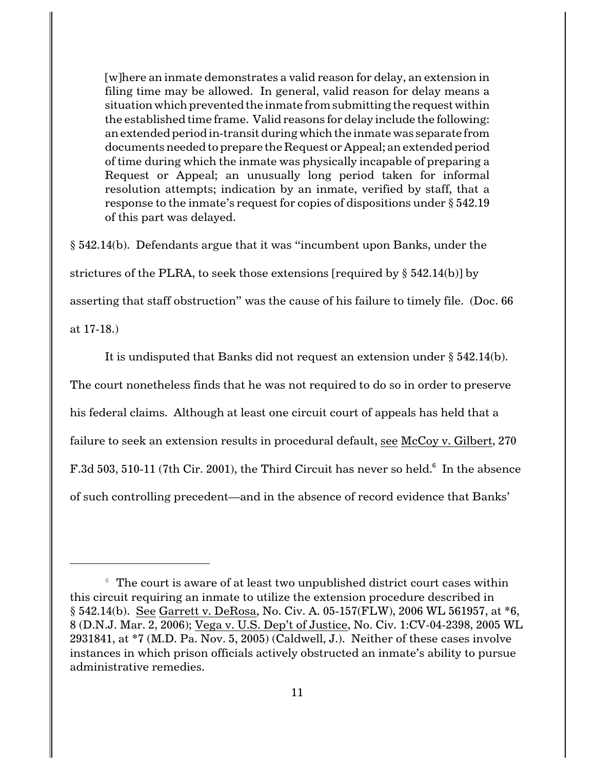[w]here an inmate demonstrates a valid reason for delay, an extension in filing time may be allowed. In general, valid reason for delay means a situation which prevented the inmate from submitting the request within the established time frame. Valid reasons for delay include the following: an extended period in-transit during which the inmate was separate from documents needed to prepare the Request or Appeal; an extended period of time during which the inmate was physically incapable of preparing a Request or Appeal; an unusually long period taken for informal resolution attempts; indication by an inmate, verified by staff, that a response to the inmate's request for copies of dispositions under § 542.19 of this part was delayed.

§ 542.14(b). Defendants argue that it was "incumbent upon Banks, under the strictures of the PLRA, to seek those extensions [required by § 542.14(b)] by asserting that staff obstruction" was the cause of his failure to timely file. (Doc. 66 at 17-18.)

It is undisputed that Banks did not request an extension under § 542.14(b). The court nonetheless finds that he was not required to do so in order to preserve his federal claims. Although at least one circuit court of appeals has held that a failure to seek an extension results in procedural default, see [McCoy v. Gilbert, 270](http://www.westlaw.com/find/default.wl?rs=CLWP3.0&vr=2.0&cite=270+F.3d+503) [F.3d 503, 510-11 \(7th Cir. 2001\)](http://www.westlaw.com/find/default.wl?rs=CLWP3.0&vr=2.0&cite=270+F.3d+503), the Third Circuit has never so held. $6$  In the absence of such controlling precedent—and in the absence of record evidence that Banks'

 $6$  The court is aware of at least two unpublished district court cases within this circuit requiring an inmate to utilize the extension procedure described in § 542.14(b). See [Garrett v. DeRosa, No. Civ. A. 05-157\(FLW\), 2006 WL 561957, at \\*6,](http://www.westlaw.com/find/default.wl?rs=CLWP3.0&vr=2.0&cite=2006+WL+561957) [8 \(D.N.J. Mar. 2, 2006\)](http://www.westlaw.com/find/default.wl?rs=CLWP3.0&vr=2.0&cite=2006+WL+561957); [Vega v. U.S. Dep't of Justice, No. Civ. 1:CV-04-2398, 2005 WL](http://www.westlaw.com/find/default.wl?rs=CLWP3.0&vr=2.0&cite=2005+WL+2931841) [2931841, at \\*7 \(M.D. Pa. Nov. 5, 2005\)](http://www.westlaw.com/find/default.wl?rs=CLWP3.0&vr=2.0&cite=2005+WL+2931841) (Caldwell, J.). Neither of these cases involve instances in which prison officials actively obstructed an inmate's ability to pursue administrative remedies.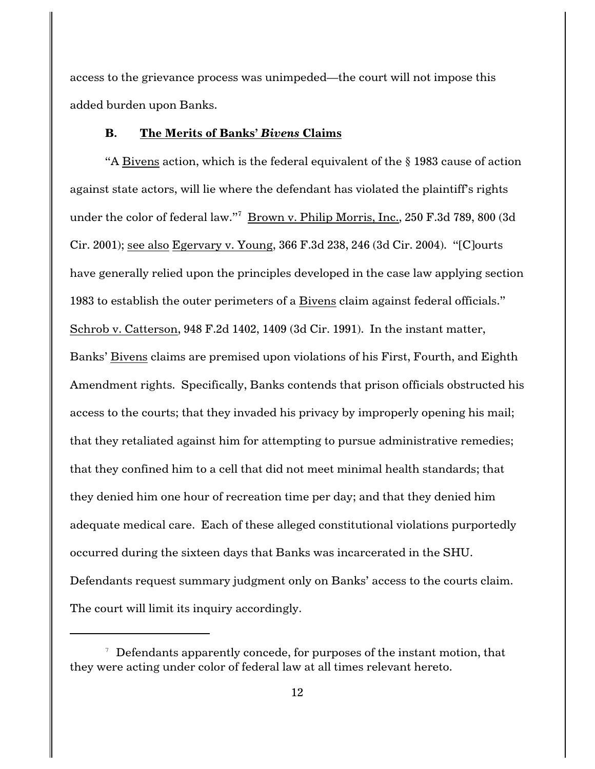access to the grievance process was unimpeded—the court will not impose this added burden upon Banks.

#### **B. The Merits of Banks'** *Bivens* **Claims**

"A Bivens action, which is the federal equivalent of the § 1983 cause of action against state actors, will lie where the defendant has violated the plaintiff's rights under the color of federal law."<sup>7</sup> <u>Brown v. Philip Morris, Inc.,</u> 250 F.3d 789, 800 (3d [Cir. 2001\)](http://www.westlaw.com/find/default.wl?rs=CLWP3.0&vr=2.0&cite=250+F.3d+789); see also [Egervary v. Young, 366 F.3d 238, 246 \(3d Cir. 2004\)](http://www.westlaw.com/find/default.wl?rs=CLWP3.0&vr=2.0&cite=366+F.3d+238). "[C]ourts have generally relied upon the principles developed in the case law applying section 1983 to establish the outer perimeters of a Bivens claim against federal officials." [Schrob v. Catterson, 948 F.2d 1402, 1409 \(3d Cir. 1991\)](http://www.westlaw.com/find/default.wl?rs=CLWP3.0&vr=2.0&cite=948+F.2d+1402). In the instant matter, Banks' Bivens claims are premised upon violations of his First, Fourth, and Eighth Amendment rights. Specifically, Banks contends that prison officials obstructed his access to the courts; that they invaded his privacy by improperly opening his mail; that they retaliated against him for attempting to pursue administrative remedies; that they confined him to a cell that did not meet minimal health standards; that they denied him one hour of recreation time per day; and that they denied him adequate medical care. Each of these alleged constitutional violations purportedly occurred during the sixteen days that Banks was incarcerated in the SHU. Defendants request summary judgment only on Banks' access to the courts claim. The court will limit its inquiry accordingly.

 $\alpha$  Defendants apparently concede, for purposes of the instant motion, that they were acting under color of federal law at all times relevant hereto.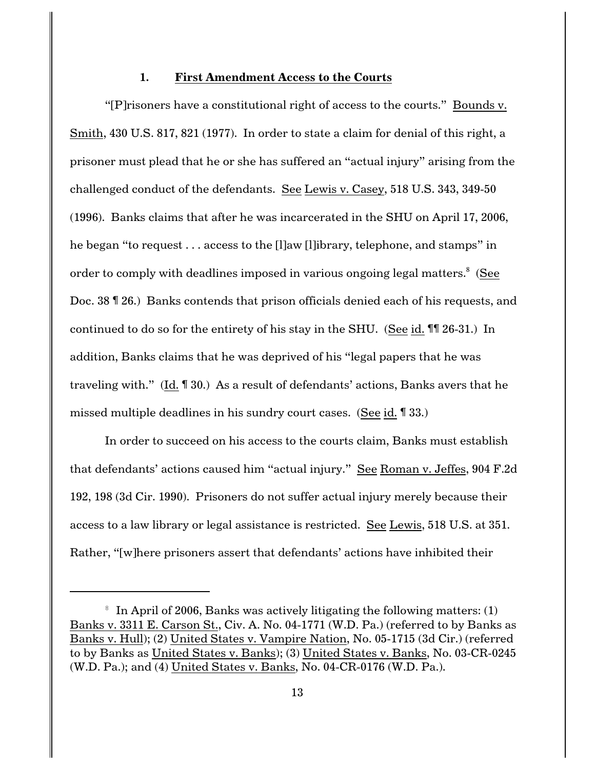#### **1. First Amendment Access to the Courts**

"[P]risoners have a constitutional right of access to the courts." [Bounds v.](http://www.westlaw.com/find/default.wl?rs=CLWP3.0&vr=2.0&cite=430+U.S.+817) [Smith, 430 U.S. 817, 821 \(1977\)](http://www.westlaw.com/find/default.wl?rs=CLWP3.0&vr=2.0&cite=430+U.S.+817). In order to state a claim for denial of this right, a prisoner must plead that he or she has suffered an "actual injury" arising from the challenged conduct of the defendants. See [Lewis v. Casey, 518 U.S. 343, 349-50](http://www.westlaw.com/find/default.wl?rs=CLWP3.0&vr=2.0&cite=518+U.S.+343) [\(1996\)](http://www.westlaw.com/find/default.wl?rs=CLWP3.0&vr=2.0&cite=518+U.S.+343). Banks claims that after he was incarcerated in the SHU on April 17, 2006, he began "to request . . . access to the [l]aw [l]ibrary, telephone, and stamps" in order to comply with deadlines imposed in various ongoing legal matters.<sup>8</sup> (See Doc. 38 ¶ 26.) Banks contends that prison officials denied each of his requests, and continued to do so for the entirety of his stay in the SHU. (See [id.](http://www.westlaw.com/find/default.wl?rs=CLWP3.0&vr=2.0&cite=518+U.S.+343) ¶¶ 26-31.) In addition, Banks claims that he was deprived of his "legal papers that he was traveling with." [\(Id.](http://www.westlaw.com/find/default.wl?rs=CLWP3.0&vr=2.0&cite=518+U.S.+343) ¶ 30.) As a result of defendants' actions, Banks avers that he missed multiple deadlines in his sundry court cases. (See [id.](http://www.westlaw.com/find/default.wl?rs=CLWP3.0&vr=2.0&cite=518+U.S.+343) ¶ 33.)

In order to succeed on his access to the courts claim, Banks must establish that defendants' actions caused him "actual injury." See [Roman v. Jeffes, 904 F.2d](http://www.westlaw.com/find/default.wl?rs=CLWP3.0&vr=2.0&cite=904+F.2d+192) [192, 198 \(3d Cir. 1990\)](http://www.westlaw.com/find/default.wl?rs=CLWP3.0&vr=2.0&cite=904+F.2d+192). Prisoners do not suffer actual injury merely because their access to a law library or legal assistance is restricted. See [Lewis, 518 U.S. at 351](http://www.westlaw.com/find/default.wl?rs=CLWP3.0&vr=2.0&cite=518+U.S.+351). Rather, "[w]here prisoners assert that defendants' actions have inhibited their

 $\,^{\circ}$  In April of 2006, Banks was actively litigating the following matters: (1) Banks v. 3311 E. Carson St., Civ. A. No. 04-1771 (W.D. Pa.) (referred to by Banks as Banks v. Hull); [\(2\) United States v](http://www.westlaw.com/find/default.wl?rs=CLWP3.0&vr=2.0&cite=2+PL+v). Vampire Nation, No. 05-1715 (3d Cir.) (referred to by Banks as United States v. Banks); (3) [United States v. Banks, No. 03-CR-0245](http://www.westlaw.com/find/default.wl?rs=CLWP3.0&vr=2.0&cite=03+Colum.+L.+Rev.+0245) (W.D. Pa.); and (4) [United States v. Banks, No. 04-CR-0176](http://www.westlaw.com/find/default.wl?rs=CLWP3.0&vr=2.0&cite=04+Colum.+L.+Rev.+0176) (W.D. Pa.).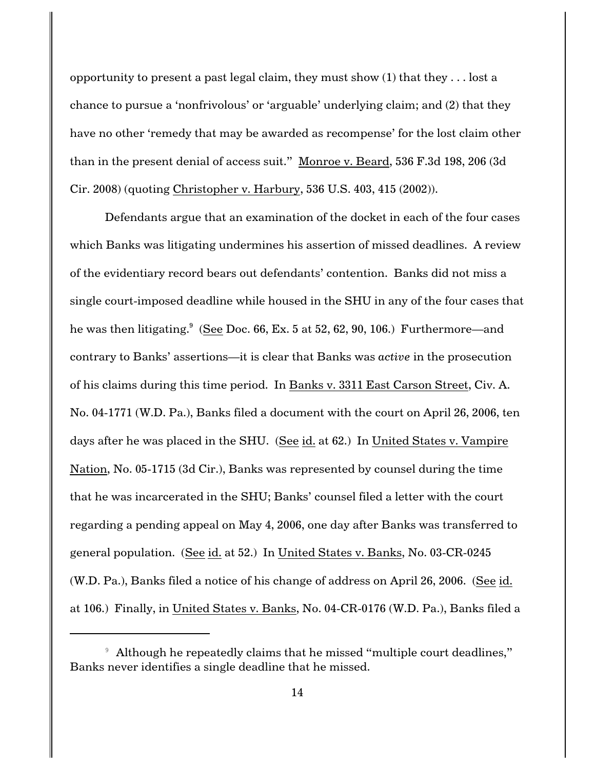opportunity to present a past legal claim, they must show  $(1)$  that they  $\dots$  lost a chance to pursue a 'nonfrivolous' or 'arguable' underlying claim; and (2) that they have no other 'remedy that may be awarded as recompense' for the lost claim other than in the present denial of access suit." [Monroe v. Beard, 536 F.3d 198, 206 \(3d](http://www.westlaw.com/find/default.wl?rs=CLWP3.0&vr=2.0&cite=536+F.3d+198) [Cir. 2008\)](http://www.westlaw.com/find/default.wl?rs=CLWP3.0&vr=2.0&cite=536+F.3d+198) (quoting Christopher v. Harbury, 536 U.S. 403, 415 (2002)).

Defendants argue that an examination of the docket in each of the four cases which Banks was litigating undermines his assertion of missed deadlines. A review of the evidentiary record bears out defendants' contention. Banks did not miss a single court-imposed deadline while housed in the SHU in any of the four cases that he was then litigating.<sup>9</sup> (See Doc. 66, Ex. 5 at 52, 62, 90, 106.) Furthermore—and contrary to Banks' assertions—it is clear that Banks was *active* in the prosecution of his claims during this time period. In Banks v. 3311 East Carson Street, Civ. A. No. 04-1771 (W.D. Pa.), Banks filed a document with the court on April 26, 2006, ten days after he was placed in the SHU. (See id. at 62.) In United States v. Vampire Nation, No. 05-1715 (3d Cir.), Banks was represented by counsel during the time that he was incarcerated in the SHU; Banks' counsel filed a letter with the court regarding a pending appeal on May 4, 2006, one day after Banks was transferred to general population. (See id. at 52.) In [United States v. Banks, No. 03-CR-0245](http://www.westlaw.com/find/default.wl?rs=CLWP3.0&vr=2.0&cite=03+Colum.+L.+Rev.+0245) (W.D. Pa.), Banks filed a notice of his change of address on April 26, 2006. (See id. at 106.) Finally, in [United States v. Banks, No. 04-CR-0176](http://www.westlaw.com/find/default.wl?rs=CLWP3.0&vr=2.0&cite=04+Colum.+L.+Rev.+0176) (W.D. Pa.), Banks filed a

<sup>&</sup>lt;sup>9</sup> Although he repeatedly claims that he missed "multiple court deadlines," Banks never identifies a single deadline that he missed.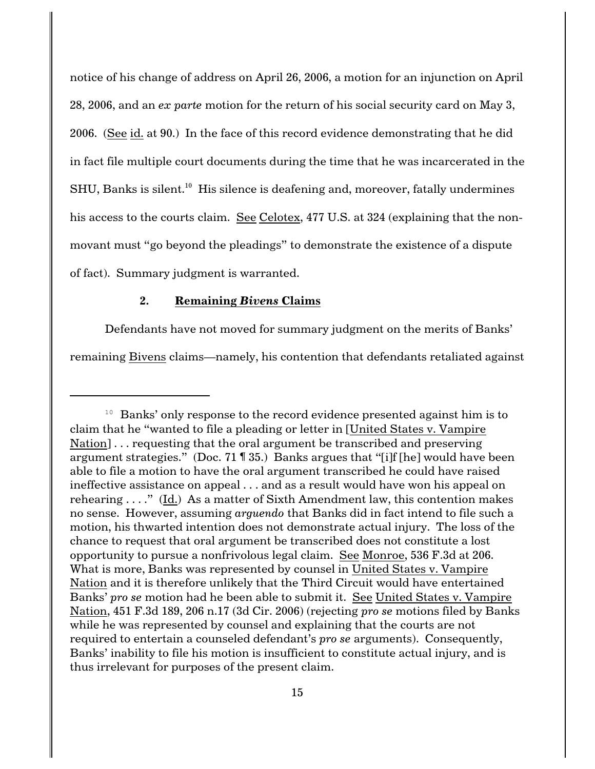notice of his change of address on April 26, 2006, a motion for an injunction on April 28, 2006, and an *ex parte* motion for the return of his social security card on May 3, 2006. (See id. at 90.) In the face of this record evidence demonstrating that he did in fact file multiple court documents during the time that he was incarcerated in the  $SHU$ , Banks is silent.<sup>10</sup> His silence is deafening and, moreover, fatally undermines his access to the courts claim. See [Celotex, 477 U.S. at 324](http://www.westlaw.com/find/default.wl?rs=CLWP3.0&vr=2.0&cite=477+U.S.+324) (explaining that the nonmovant must "go beyond the pleadings" to demonstrate the existence of a dispute of fact). Summary judgment is warranted.

### **2. Remaining** *Bivens* **Claims**

Defendants have not moved for summary judgment on the merits of Banks' remaining Bivens claims—namely, his contention that defendants retaliated against

 $10$  Banks' only response to the record evidence presented against him is to claim that he "wanted to file a pleading or letter in [United States v. Vampire Nation] . . . requesting that the oral argument be transcribed and preserving argument strategies." (Doc. 71 ¶ 35.) Banks argues that "[i]f [he] would have been able to file a motion to have the oral argument transcribed he could have raised ineffective assistance on appeal . . . and as a result would have won his appeal on rehearing . . . ." (Id.) As a matter of Sixth Amendment law, this contention makes no sense. However, assuming *arguendo* that Banks did in fact intend to file such a motion, his thwarted intention does not demonstrate actual injury. The loss of the chance to request that oral argument be transcribed does not constitute a lost opportunity to pursue a nonfrivolous legal claim. See [Monroe, 536 F.3d at 206](http://www.westlaw.com/find/default.wl?rs=CLWP3.0&vr=2.0&cite=536+F.3d+206). What is more, Banks was represented by counsel in United States v. Vampire Nation and it is therefore unlikely that the Third Circuit would have entertained Banks' *pro se* motion had he been able to submit it. See [United States v. Vampire](http://www.westlaw.com/find/default.wl?rs=CLWP3.0&vr=2.0&cite=451+F.3d+189) [Nation, 451 F.3d 189, 206 n.17 \(3d Cir. 2006\)](http://www.westlaw.com/find/default.wl?rs=CLWP3.0&vr=2.0&cite=451+F.3d+189) (rejecting *pro se* motions filed by Banks while he was represented by counsel and explaining that the courts are not required to entertain a counseled defendant's *pro se* arguments). Consequently, Banks' inability to file his motion is insufficient to constitute actual injury, and is thus irrelevant for purposes of the present claim.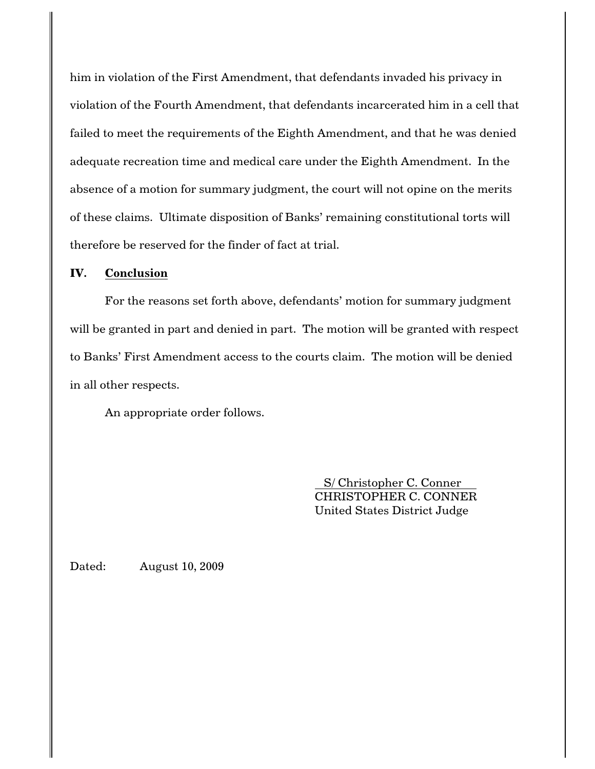him in violation of the First Amendment, that defendants invaded his privacy in violation of the Fourth Amendment, that defendants incarcerated him in a cell that failed to meet the requirements of the Eighth Amendment, and that he was denied adequate recreation time and medical care under the Eighth Amendment. In the absence of a motion for summary judgment, the court will not opine on the merits of these claims. Ultimate disposition of Banks' remaining constitutional torts will therefore be reserved for the finder of fact at trial.

### **IV. Conclusion**

For the reasons set forth above, defendants' motion for summary judgment will be granted in part and denied in part. The motion will be granted with respect to Banks' First Amendment access to the courts claim. The motion will be denied in all other respects.

An appropriate order follows.

 S/ Christopher C. Conner CHRISTOPHER C. CONNER United States District Judge

Dated: August 10, 2009